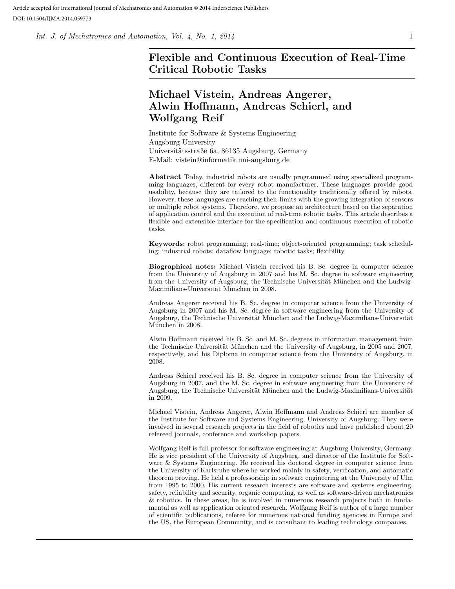Int. J. of Mechatronics and Automation, Vol.  $\lambda$ , No. 1, 2014 1

# Flexible and Continuous Execution of Real-Time Critical Robotic Tasks

# Michael Vistein, Andreas Angerer, Alwin Hoffmann, Andreas Schierl, and Wolfgang Reif

Institute for Software & Systems Engineering Augsburg University Universitätsstraße 6a, 86135 Augsburg, Germany E-Mail: vistein@informatik.uni-augsburg.de

Abstract Today, industrial robots are usually programmed using specialized programming languages, different for every robot manufacturer. These languages provide good usability, because they are tailored to the functionality traditionally offered by robots. However, these languages are reaching their limits with the growing integration of sensors or multiple robot systems. Therefore, we propose an architecture based on the separation of application control and the execution of real-time robotic tasks. This article describes a flexible and extensible interface for the specification and continuous execution of robotic tasks.

Keywords: robot programming; real-time; object-oriented programming; task scheduling; industrial robots; dataflow language; robotic tasks; flexibility

Biographical notes: Michael Vistein received his B. Sc. degree in computer science from the University of Augsburg in 2007 and his M. Sc. degree in software engineering from the University of Augsburg, the Technische Universität München and the Ludwig-Maximilians-Universität München in 2008.

Andreas Angerer received his B. Sc. degree in computer science from the University of Augsburg in 2007 and his M. Sc. degree in software engineering from the University of Augsburg, the Technische Universität München and the Ludwig-Maximilians-Universität München in 2008.

Alwin Hoffmann received his B. Sc. and M. Sc. degrees in information management from the Technische Universität München and the University of Augsburg, in 2005 and 2007, respectively, and his Diploma in computer science from the University of Augsburg, in 2008.

Andreas Schierl received his B. Sc. degree in computer science from the University of Augsburg in 2007, and the M. Sc. degree in software engineering from the University of Augsburg, the Technische Universität München and the Ludwig-Maximilians-Universität in 2009.

Michael Vistein, Andreas Angerer, Alwin Hoffmann and Andreas Schierl are member of the Institute for Software and Systems Engineering, University of Augsburg. They were involved in several research projects in the field of robotics and have published about 20 refereed journals, conference and workshop papers.

Wolfgang Reif is full professor for software engineering at Augsburg University, Germany. He is vice president of the University of Augsburg, and director of the Institute for Software & Systems Engineering. He received his doctoral degree in computer science from the University of Karlsruhe where he worked mainly in safety, verification, and automatic theorem proving. He held a professorship in software engineering at the University of Ulm from 1995 to 2000. His current research interests are software and systems engineering, safety, reliability and security, organic computing, as well as software-driven mechatronics & robotics. In these areas, he is involved in numerous research projects both in fundamental as well as application oriented research. Wolfgang Reif is author of a large number of scientific publications, referee for numerous national funding agencies in Europe and the US, the European Community, and is consultant to leading technology companies.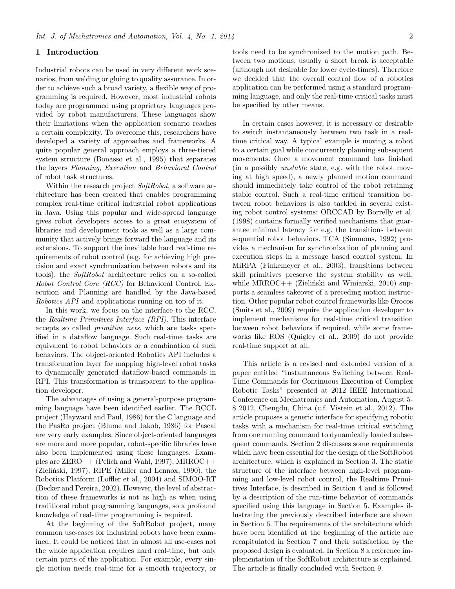## 1 Introduction

Industrial robots can be used in very different work scenarios, from welding or gluing to quality assurance. In order to achieve such a broad variety, a flexible way of programming is required. However, most industrial robots today are programmed using proprietary languages provided by robot manufacturers. These languages show their limitations when the application scenario reaches a certain complexity. To overcome this, researchers have developed a variety of approaches and frameworks. A quite popular general approach employs a three-tiered system structure (Bonasso et al., 1995) that separates the layers Planning, Execution and Behavioral Control of robot task structures.

Within the research project SoftRobot, a software architecture has been created that enables programming complex real-time critical industrial robot applications in Java. Using this popular and wide-spread language gives robot developers access to a great ecosystem of libraries and development tools as well as a large community that actively brings forward the language and its extensions. To support the inevitable hard real-time requirements of robot control (e.g. for achieving high precision and exact synchronization between robots and its tools), the SoftRobot architecture relies on a so-called Robot Control Core (RCC) for Behavioral Control. Execution and Planning are handled by the Java-based Robotics API and applications running on top of it.

In this work, we focus on the interface to the RCC, the Realtime Primitives Interface (RPI). This interface accepts so called primitive nets, which are tasks specified in a dataflow language. Such real-time tasks are equivalent to robot behaviors or a combination of such behaviors. The object-oriented Robotics API includes a transformation layer for mapping high-level robot tasks to dynamically generated dataflow-based commands in RPI. This transformation is transparent to the application developer.

The advantages of using a general-purpose programming language have been identified earlier. The RCCL project (Hayward and Paul, 1986) for the C language and the PasRo project (Blume and Jakob, 1986) for Pascal are very early examples. Since object-oriented languages are more and more popular, robot-specific libraries have also been implemented using these languages. Examples are ZERO++ (Pelich and Wahl, 1997), MRROC++ (Zieliński, 1997), RIPE (Miller and Lennox, 1990), the Robotics Platform (Loffler et al., 2004) and SIMOO-RT (Becker and Pereira, 2002). However, the level of abstraction of these frameworks is not as high as when using traditional robot programming languages, so a profound knowledge of real-time programming is required.

At the beginning of the SoftRobot project, many common use-cases for industrial robots have been examined. It could be noticed that in almost all use-cases not the whole application requires hard real-time, but only certain parts of the application. For example, every single motion needs real-time for a smooth trajectory, or tools need to be synchronized to the motion path. Between two motions, usually a short break is acceptable (although not desirable for lower cycle-times). Therefore we decided that the overall control flow of a robotics application can be performed using a standard programming language, and only the real-time critical tasks must be specified by other means.

In certain cases however, it is necessary or desirable to switch instantaneously between two task in a realtime critical way. A typical example is moving a robot to a certain goal while concurrently planning subsequent movements. Once a movement command has finished (in a possibly unstable state, e.g. with the robot moving at high speed), a newly planned motion command should immediately take control of the robot retaining stable control. Such a real-time critical transition between robot behaviors is also tackled in several existing robot control systems: ORCCAD by Borrelly et al. (1998) contains formally verified mechanisms that guarantee minimal latency for e.g. the transitions between sequential robot behaviors. TCA (Simmons, 1992) provides a mechanism for synchronization of planning and execution steps in a message based control system. In MiRPA (Finkemeyer et al., 2003), transitions between skill primitives preserve the system stability as well, while MRROC $++$  (Zieliński and Winiarski, 2010) supports a seamless takeover of a preceding motion instruction. Other popular robot control frameworks like Orocos (Smits et al., 2009) require the application developer to implement mechanisms for real-time critical transition between robot behaviors if required, while some frameworks like ROS (Quigley et al., 2009) do not provide real-time support at all.

This article is a revised and extended version of a paper entitled "Instantaneous Switching between Real-Time Commands for Continuous Execution of Complex Robotic Tasks" presented at 2012 IEEE International Conference on Mechatronics and Automation, August 5- 8 2012, Chengdu, China (c.f. Vistein et al., 2012). The article proposes a generic interface for specifying robotic tasks with a mechanism for real-time critical switching from one running command to dynamically loaded subsequent commands. Section 2 discusses some requirements which have been essential for the design of the SoftRobot architecture, which is explained in Section 3. The static structure of the interface between high-level programming and low-level robot control, the Realtime Primitives Interface, is described in Section 4 and is followed by a description of the run-time behavior of commands specified using this language in Section 5. Examples illustrating the previously described interface are shown in Section 6. The requirements of the architecture which have been identified at the beginning of the article are recapitulated in Section 7 and their satisfaction by the proposed design is evaluated. In Section 8 a reference implementation of the SoftRobot architecture is explained. The article is finally concluded with Section 9.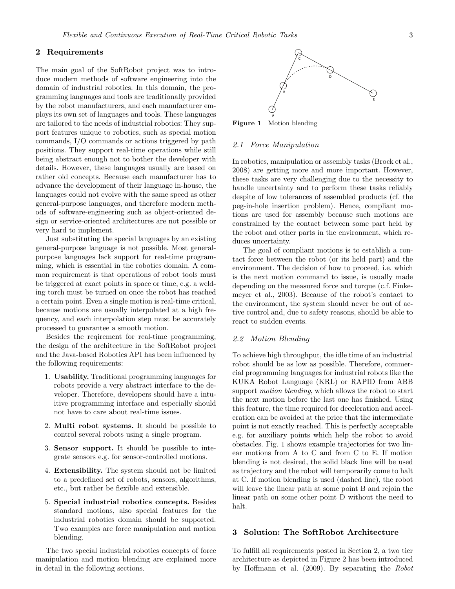## 2 Requirements

The main goal of the SoftRobot project was to introduce modern methods of software engineering into the domain of industrial robotics. In this domain, the programming languages and tools are traditionally provided by the robot manufacturers, and each manufacturer employs its own set of languages and tools. These languages are tailored to the needs of industrial robotics: They support features unique to robotics, such as special motion commands, I/O commands or actions triggered by path positions. They support real-time operations while still being abstract enough not to bother the developer with details. However, these languages usually are based on rather old concepts. Because each manufacturer has to advance the development of their language in-house, the languages could not evolve with the same speed as other general-purpose languages, and therefore modern methods of software-engineering such as object-oriented design or service-oriented architectures are not possible or very hard to implement.

Just substituting the special languages by an existing general-purpose language is not possible. Most generalpurpose languages lack support for real-time programming, which is essential in the robotics domain. A common requirement is that operations of robot tools must be triggered at exact points in space or time, e.g. a welding torch must be turned on once the robot has reached a certain point. Even a single motion is real-time critical, because motions are usually interpolated at a high frequency, and each interpolation step must be accurately processed to guarantee a smooth motion.

Besides the reqirement for real-time programming, the design of the architecture in the SoftRobot project and the Java-based Robotics API has been influenced by the following requirements:

- 1. Usability. Traditional programming languages for robots provide a very abstract interface to the developer. Therefore, developers should have a intuitive programming interface and especially should not have to care about real-time issues.
- 2. Multi robot systems. It should be possible to control several robots using a single program.
- 3. Sensor support. It should be possible to integrate sensors e.g. for sensor-controlled motions.
- 4. Extensibility. The system should not be limited to a predefined set of robots, sensors, algorithms, etc., but rather be flexible and extensible.
- 5. Special industrial robotics concepts. Besides standard motions, also special features for the industrial robotics domain should be supported. Two examples are force manipulation and motion blending.

The two special industrial robotics concepts of force manipulation and motion blending are explained more in detail in the following sections.



Figure 1 Motion blending

#### 2.1 Force Manipulation

In robotics, manipulation or assembly tasks (Brock et al., 2008) are getting more and more important. However, these tasks are very challenging due to the necessity to handle uncertainty and to perform these tasks reliably despite of low tolerances of assembled products (cf. the peg-in-hole insertion problem). Hence, compliant motions are used for assembly because such motions are constrained by the contact between some part held by the robot and other parts in the environment, which reduces uncertainty.

The goal of compliant motions is to establish a contact force between the robot (or its held part) and the environment. The decision of how to proceed, i.e. which is the next motion command to issue, is usually made depending on the measured force and torque (c.f. Finkemeyer et al., 2003). Because of the robot's contact to the environment, the system should never be out of active control and, due to safety reasons, should be able to react to sudden events.

### 2.2 Motion Blending

To achieve high throughput, the idle time of an industrial robot should be as low as possible. Therefore, commercial programming languages for industrial robots like the KUKA Robot Language (KRL) or RAPID from ABB support *motion blending*, which allows the robot to start the next motion before the last one has finished. Using this feature, the time required for deceleration and acceleration can be avoided at the price that the intermediate point is not exactly reached. This is perfectly acceptable e.g. for auxiliary points which help the robot to avoid obstacles. Fig. 1 shows example trajectories for two linear motions from A to C and from C to E. If motion blending is not desired, the solid black line will be used as trajectory and the robot will temporarily come to halt at C. If motion blending is used (dashed line), the robot will leave the linear path at some point B and rejoin the linear path on some other point D without the need to halt.

# 3 Solution: The SoftRobot Architecture

To fulfill all requirements posted in Section 2, a two tier architecture as depicted in Figure 2 has been introduced by Hoffmann et al. (2009). By separating the Robot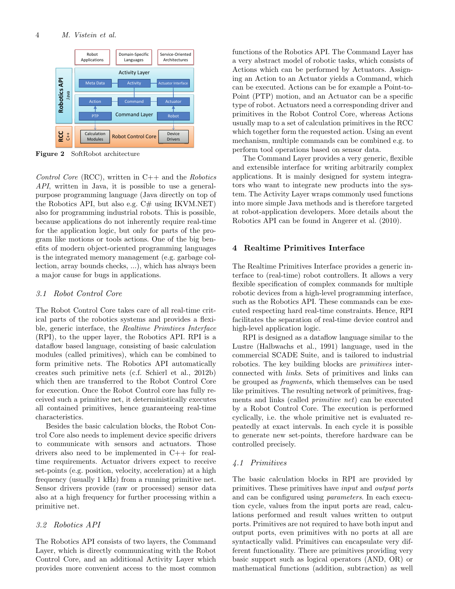

Figure 2 SoftRobot architecture

Control Core (RCC), written in  $C++$  and the Robotics API, written in Java, it is possible to use a generalpurpose programming language (Java directly on top of the Robotics API, but also e.g.  $C#$  using IKVM.NET) also for programming industrial robots. This is possible, because applications do not inherently require real-time for the application logic, but only for parts of the program like motions or tools actions. One of the big benefits of modern object-oriented programming languages is the integrated memory management (e.g. garbage collection, array bounds checks, ...), which has always been a major cause for bugs in applications.

# 3.1 Robot Control Core

The Robot Control Core takes care of all real-time critical parts of the robotics systems and provides a flexible, generic interface, the Realtime Primtives Interface (RPI), to the upper layer, the Robotics API. RPI is a dataflow based language, consisting of basic calculation modules (called primitives), which can be combined to form primitive nets. The Robotics API automatically creates such primitive nets (c.f. Schierl et al., 2012b) which then are transferred to the Robot Control Core for execution. Once the Robot Control core has fully received such a primitive net, it deterministically executes all contained primitives, hence guaranteeing real-time characteristics.

Besides the basic calculation blocks, the Robot Control Core also needs to implement device specific drivers to communicate with sensors and actuators. Those drivers also need to be implemented in C++ for realtime requirements. Actuator drivers expect to receive set-points (e.g. position, velocity, acceleration) at a high frequency (usually 1 kHz) from a running primitive net. Sensor drivers provide (raw or processed) sensor data also at a high frequency for further processing within a primitive net.

## 3.2 Robotics API

The Robotics API consists of two layers, the Command Layer, which is directly communicating with the Robot Control Core, and an additional Activity Layer which provides more convenient access to the most common functions of the Robotics API. The Command Layer has a very abstract model of robotic tasks, which consists of Actions which can be performed by Actuators. Assigning an Action to an Actuator yields a Command, which can be executed. Actions can be for example a Point-to-Point (PTP) motion, and an Actuator can be a specific type of robot. Actuators need a corresponding driver and primitives in the Robot Control Core, whereas Actions usually map to a set of calculation primitives in the RCC which together form the requested action. Using an event mechanism, multiple commands can be combined e.g. to perform tool operations based on sensor data.

The Command Layer provides a very generic, flexible and extensible interface for writing arbitrarily complex applications. It is mainly designed for system integrators who want to integrate new products into the system. The Activity Layer wraps commonly used functions into more simple Java methods and is therefore targeted at robot-application developers. More details about the Robotics API can be found in Angerer et al. (2010).

## 4 Realtime Primitives Interface

The Realtime Primitives Interface provides a generic interface to (real-time) robot controllers. It allows a very flexible specification of complex commands for multiple robotic devices from a high-level programming interface, such as the Robotics API. These commands can be executed respecting hard real-time constraints. Hence, RPI facilitates the separation of real-time device control and high-level application logic.

RPI is designed as a dataflow language similar to the Lustre (Halbwachs et al., 1991) language, used in the commercial SCADE Suite, and is tailored to industrial robotics. The key building blocks are primitives interconnected with links. Sets of primitives and links can be grouped as fragments, which themselves can be used like primitives. The resulting network of primitives, fragments and links (called primitive net) can be executed by a Robot Control Core. The execution is performed cyclically, i.e. the whole primitive net is evaluated repeatedly at exact intervals. In each cycle it is possible to generate new set-points, therefore hardware can be controlled precisely.

# 4.1 Primitives

The basic calculation blocks in RPI are provided by primitives. These primitives have input and output ports and can be configured using parameters. In each execution cycle, values from the input ports are read, calculations performed and result values written to output ports. Primitives are not required to have both input and output ports, even primitives with no ports at all are syntactically valid. Primitives can encapsulate very different functionality. There are primitives providing very basic support such as logical operators (AND, OR) or mathematical functions (addition, subtraction) as well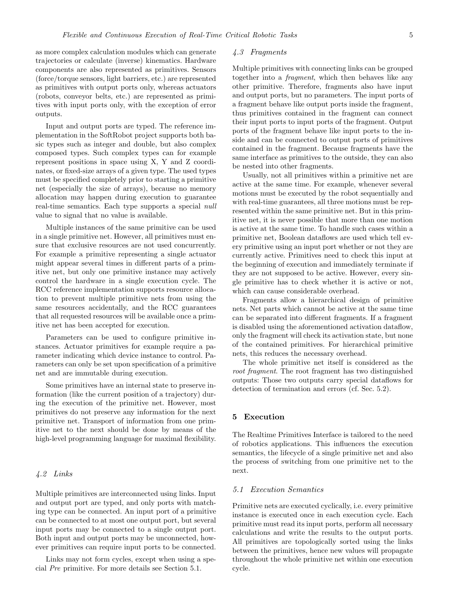as more complex calculation modules which can generate trajectories or calculate (inverse) kinematics. Hardware components are also represented as primitives. Sensors (force/torque sensors, light barriers, etc.) are represented as primitives with output ports only, whereas actuators (robots, conveyor belts, etc.) are represented as primitives with input ports only, with the exception of error outputs.

Input and output ports are typed. The reference implementation in the SoftRobot project supports both basic types such as integer and double, but also complex composed types. Such complex types can for example represent positions in space using X, Y and Z coordinates, or fixed-size arrays of a given type. The used types must be specified completely prior to starting a primitive net (especially the size of arrays), because no memory allocation may happen during execution to guarantee real-time semantics. Each type supports a special null value to signal that no value is available.

Multiple instances of the same primitive can be used in a single primitive net. However, all primitives must ensure that exclusive resources are not used concurrently. For example a primitive representing a single actuator might appear several times in different parts of a primitive net, but only one primitive instance may actively control the hardware in a single execution cycle. The RCC reference implementation supports resource allocation to prevent multiple primitive nets from using the same resources accidentally, and the RCC guarantees that all requested resources will be available once a primitive net has been accepted for execution.

Parameters can be used to configure primitive instances. Actuator primitives for example require a parameter indicating which device instance to control. Parameters can only be set upon specification of a primitive net and are immutable during execution.

Some primitives have an internal state to preserve information (like the current position of a trajectory) during the execution of the primitive net. However, most primitives do not preserve any information for the next primitive net. Transport of information from one primitive net to the next should be done by means of the high-level programming language for maximal flexibility.

# 4.2 Links

Multiple primitives are interconnected using links. Input and output port are typed, and only ports with matching type can be connected. An input port of a primitive can be connected to at most one output port, but several input ports may be connected to a single output port. Both input and output ports may be unconnected, however primitives can require input ports to be connected.

Links may not form cycles, except when using a special Pre primitive. For more details see Section 5.1.

# 4.3 Fragments

Multiple primitives with connecting links can be grouped together into a fragment, which then behaves like any other primitive. Therefore, fragments also have input and output ports, but no parameters. The input ports of a fragment behave like output ports inside the fragment, thus primitives contained in the fragment can connect their input ports to input ports of the fragment. Output ports of the fragment behave like input ports to the inside and can be connected to output ports of primitives contained in the fragment. Because fragments have the same interface as primitives to the outside, they can also be nested into other fragments.

Usually, not all primitives within a primitive net are active at the same time. For example, whenever several motions must be executed by the robot sequentially and with real-time guarantees, all three motions must be represented within the same primitive net. But in this primitive net, it is never possible that more than one motion is active at the same time. To handle such cases within a primitive net, Boolean dataflows are used which tell every primitive using an input port whether or not they are currently active. Primitives need to check this input at the beginning of execution and immediately terminate if they are not supposed to be active. However, every single primitive has to check whether it is active or not, which can cause considerable overhead.

Fragments allow a hierarchical design of primitive nets. Net parts which cannot be active at the same time can be separated into different fragments. If a fragment is disabled using the aforementioned activation dataflow, only the fragment will check its activation state, but none of the contained primitives. For hierarchical primitive nets, this reduces the necessary overhead.

The whole primitive net itself is considered as the root fragment. The root fragment has two distinguished outputs: Those two outputs carry special dataflows for detection of termination and errors (cf. Sec. 5.2).

# 5 Execution

The Realtime Primitives Interface is tailored to the need of robotics applications. This influences the execution semantics, the lifecycle of a single primitive net and also the process of switching from one primitive net to the next.

## 5.1 Execution Semantics

Primitive nets are executed cyclically, i.e. every primitive instance is executed once in each execution cycle. Each primitive must read its input ports, perform all necessary calculations and write the results to the output ports. All primitives are topologically sorted using the links between the primitives, hence new values will propagate throughout the whole primitive net within one execution cycle.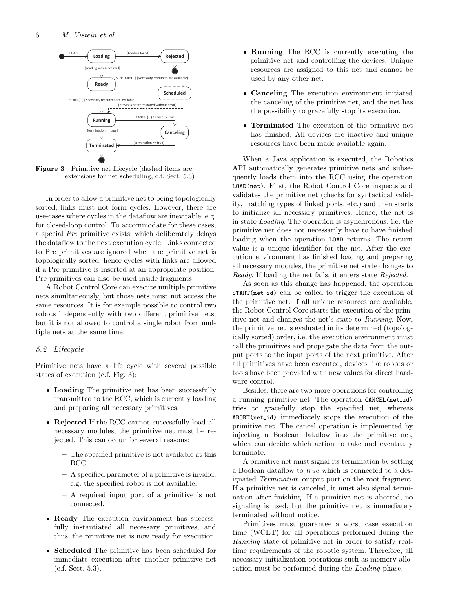

Figure 3 Primitive net lifecycle (dashed items are extensions for net scheduling, c.f. Sect. 5.3)

In order to allow a primitive net to being topologically sorted, links must not form cycles. However, there are use-cases where cycles in the dataflow are inevitable, e.g. for closed-loop control. To accommodate for these cases, a special Pre primitive exists, which deliberately delays the dataflow to the next execution cycle. Links connected to Pre primitives are ignored when the primitive net is topologically sorted, hence cycles with links are allowed if a Pre primitive is inserted at an appropriate position. Pre primitives can also be used inside fragments.

A Robot Control Core can execute multiple primitive nets simultaneously, but those nets must not access the same resources. It is for example possible to control two robots independently with two different primitive nets, but it is not allowed to control a single robot from multiple nets at the same time.

## 5.2 Lifecycle

Primitive nets have a life cycle with several possible states of execution (c.f. Fig. 3):

- Loading The primitive net has been successfully transmitted to the RCC, which is currently loading and preparing all necessary primitives.
- Rejected If the RCC cannot successfully load all necessary modules, the primitive net must be rejected. This can occur for several reasons:
	- The specified primitive is not available at this RCC.
	- A specified parameter of a primitive is invalid, e.g. the specified robot is not available.
	- A required input port of a primitive is not connected.
- Ready The execution environment has successfully instantiated all necessary primitives, and thus, the primitive net is now ready for execution.
- Scheduled The primitive has been scheduled for immediate execution after another primitive net (c.f. Sect. 5.3).
- Running The RCC is currently executing the primitive net and controlling the devices. Unique resources are assigned to this net and cannot be used by any other net.
- Canceling The execution environment initiated the canceling of the primitive net, and the net has the possibility to gracefully stop its execution.
- Terminated The execution of the primitive net has finished. All devices are inactive and unique resources have been made available again.

When a Java application is executed, the Robotics API automatically generates primitive nets and subsequently loads them into the RCC using the operation LOAD(net). First, the Robot Control Core inspects and validates the primitive net (checks for syntactical validity, matching types of linked ports, etc.) and then starts to initialize all necessary primitives. Hence, the net is in state Loading. The operation is asynchronous, i.e. the primitive net does not necessarily have to have finished loading when the operation LOAD returns. The return value is a unique identifier for the net. After the execution environment has finished loading and preparing all necessary modules, the primitive net state changes to Ready. If loading the net fails, it enters state Rejected.

As soon as this change has happened, the operation START(net id) can be called to trigger the execution of the primitive net. If all unique resources are available, the Robot Control Core starts the execution of the primitive net and changes the net's state to Running. Now, the primitive net is evaluated in its determined (topologically sorted) order, i.e. the execution environment must call the primitives and propagate the data from the output ports to the input ports of the next primitive. After all primitives have been executed, devices like robots or tools have been provided with new values for direct hardware control.

Besides, there are two more operations for controlling a running primitive net. The operation CANCEL(net\_id) tries to gracefully stop the specified net, whereas ABORT(net id) immediately stops the execution of the primitive net. The cancel operation is implemented by injecting a Boolean dataflow into the primitive net, which can decide which action to take and eventually terminate.

A primitive net must signal its termination by setting a Boolean dataflow to true which is connected to a designated Termination output port on the root fragment. If a primitive net is canceled, it must also signal termination after finishing. If a primitive net is aborted, no signaling is used, but the primitive net is immediately terminated without notice.

Primitives must guarantee a worst case execution time (WCET) for all operations performed during the Running state of primitive net in order to satisfy realtime requirements of the robotic system. Therefore, all necessary initialization operations such as memory allocation must be performed during the Loading phase.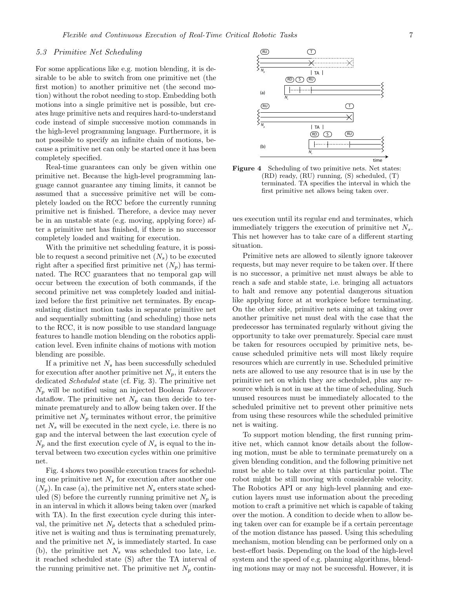#### 5.3 Primitive Net Scheduling

For some applications like e.g. motion blending, it is desirable to be able to switch from one primitive net (the first motion) to another primitive net (the second motion) without the robot needing to stop. Embedding both motions into a single primitive net is possible, but creates huge primitive nets and requires hard-to-understand code instead of simple successive motion commands in the high-level programming language. Furthermore, it is not possible to specify an infinite chain of motions, because a primitive net can only be started once it has been completely specified.

Real-time guarantees can only be given within one primitive net. Because the high-level programming language cannot guarantee any timing limits, it cannot be assumed that a successive primitive net will be completely loaded on the RCC before the currently running primitive net is finished. Therefore, a device may never be in an unstable state (e.g. moving, applying force) after a primitive net has finished, if there is no successor completely loaded and waiting for execution.

With the primitive net scheduling feature, it is possible to request a second primitive net  $(N_s)$  to be executed right after a specified first primitive net  $(N_p)$  has terminated. The RCC guarantees that no temporal gap will occur between the execution of both commands, if the second primitive net was completely loaded and initialized before the first primitive net terminates. By encapsulating distinct motion tasks in separate primitive net and sequentially submitting (and scheduling) those nets to the RCC, it is now possible to use standard language features to handle motion blending on the robotics application level. Even infinite chains of motions with motion blending are possible.

If a primitive net  $N_s$  has been successfully scheduled for execution after another primitive net  $N_p$ , it enters the dedicated Scheduled state (cf. Fig. 3). The primitive net  $N_p$  will be notified using an injected Boolean Takeover dataflow. The primitive net  $N_p$  can then decide to terminate prematurely and to allow being taken over. If the primitive net  $N_p$  terminates without error, the primitive net  $N_s$  will be executed in the next cycle, i.e. there is no gap and the interval between the last execution cycle of  $N_p$  and the first execution cycle of  $N_s$  is equal to the interval between two execution cycles within one primitive net.

Fig. 4 shows two possible execution traces for scheduling one primitive net  $N_s$  for execution after another one  $(N_p)$ . In case (a), the primitive net  $N_s$  enters state scheduled (S) before the currently running primitive net  $N_p$  is in an interval in which it allows being taken over (marked with TA). In the first execution cycle during this interval, the primitive net  $N_p$  detects that a scheduled primitive net is waiting and thus is terminating prematurely, and the primitive net  $N_s$  is immediately started. In case (b), the primitive net  $N_s$  was scheduled too late, i.e. it reached scheduled state (S) after the TA interval of the running primitive net. The primitive net  $N_p$  contin-





ues execution until its regular end and terminates, which immediately triggers the execution of primitive net  $N_s$ . This net however has to take care of a different starting situation.

Primitive nets are allowed to silently ignore takeover requests, but may never require to be taken over. If there is no successor, a primitive net must always be able to reach a safe and stable state, i.e. bringing all actuators to halt and remove any potential dangerous situation like applying force at at workpiece before terminating. On the other side, primitive nets aiming at taking over another primitive net must deal with the case that the predecessor has terminated regularly without giving the opportunity to take over prematurely. Special care must be taken for resources occupied by primitive nets, because scheduled primitive nets will most likely require resources which are currently in use. Scheduled primitive nets are allowed to use any resource that is in use by the primitive net on which they are scheduled, plus any resource which is not in use at the time of scheduling. Such unused resources must be immediately allocated to the scheduled primitive net to prevent other primitive nets from using these resources while the scheduled primitive net is waiting.

To support motion blending, the first running primitive net, which cannot know details about the following motion, must be able to terminate prematurely on a given blending condition, and the following primitive net must be able to take over at this particular point. The robot might be still moving with considerable velocity. The Robotics API or any high-level planning and execution layers must use information about the preceding motion to craft a primitive net which is capable of taking over the motion. A condition to decide when to allow being taken over can for example be if a certain percentage of the motion distance has passed. Using this scheduling mechanism, motion blending can be performed only on a best-effort basis. Depending on the load of the high-level system and the speed of e.g. planning algorithms, blending motions may or may not be successful. However, it is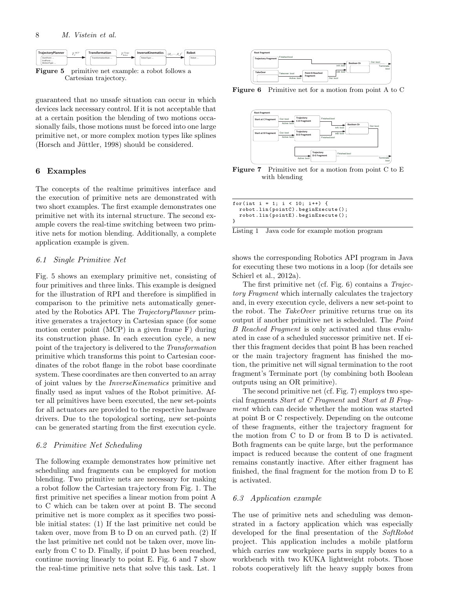

guaranteed that no unsafe situation can occur in which devices lack necessary control. If it is not acceptable that at a certain position the blending of two motions occasionally fails, those motions must be forced into one large primitive net, or more complex motion types like splines (Horsch and Jüttler, 1998) should be considered.

# 6 Examples

The concepts of the realtime primitives interface and the execution of primitive nets are demonstrated with two short examples. The first example demonstrates one primitive net with its internal structure. The second example covers the real-time switching between two primitive nets for motion blending. Additionally, a complete application example is given.

# 6.1 Single Primitive Net

Fig. 5 shows an exemplary primitive net, consisting of four primitives and three links. This example is designed for the illustration of RPI and therefore is simplified in comparison to the primitive nets automatically generated by the Robotics API. The TrajectoryPlanner primitive generates a trajectory in Cartesian space (for some motion center point (MCP) in a given frame F) during its construction phase. In each execution cycle, a new point of the trajectory is delivered to the Transformation primitive which transforms this point to Cartesian coordinates of the robot flange in the robot base coordinate system. These coordinates are then converted to an array of joint values by the InverseKinematics primitive and finally used as input values of the Robot primitive. After all primitives have been executed, the new set-points for all actuators are provided to the respective hardware drivers. Due to the topological sorting, new set-points can be generated starting from the first execution cycle.

#### 6.2 Primitive Net Scheduling

The following example demonstrates how primitive net scheduling and fragments can be employed for motion blending. Two primitive nets are necessary for making a robot follow the Cartesian trajectory from Fig. 1. The first primitive net specifies a linear motion from point A to C which can be taken over at point B. The second primitive net is more complex as it specifies two possible initial states: (1) If the last primitive net could be taken over, move from B to D on an curved path. (2) If the last primitive net could not be taken over, move linearly from C to D. Finally, if point D has been reached, continue moving linearly to point E. Fig. 6 and 7 show the real-time primitive nets that solve this task. Lst. 1



Figure 6 Primitive net for a motion from point A to C





| for(int i = 1; i < 10; i++) {     |  |  |  |  |  |
|-----------------------------------|--|--|--|--|--|
| robot.lin(pointC).beginExecute(); |  |  |  |  |  |
| robot.lin(pointE).beginExecute(); |  |  |  |  |  |
|                                   |  |  |  |  |  |

Listing 1 Java code for example motion program

shows the corresponding Robotics API program in Java for executing these two motions in a loop (for details see Schierl et al., 2012a).

The first primitive net (cf. Fig. 6) contains a Trajectory Fragment which internally calculates the trajectory and, in every execution cycle, delivers a new set-point to the robot. The  $TakeOver$  primitive returns true on its output if another primitive net is scheduled. The Point B Reached Fragment is only activated and thus evaluated in case of a scheduled successor primitive net. If either this fragment decides that point B has been reached or the main trajectory fragment has finished the motion, the primitive net will signal termination to the root fragment's Terminate port (by combining both Boolean outputs using an OR primitive).

The second primitive net (cf. Fig. 7) employs two special fragments Start at C Fragment and Start at B Fragment which can decide whether the motion was started at point B or C respectively. Depending on the outcome of these fragments, either the trajectory fragment for the motion from C to D or from B to D is activated. Both fragments can be quite large, but the performance impact is reduced because the content of one fragment remains constantly inactive. After either fragment has finished, the final fragment for the motion from D to E is activated.

## 6.3 Application example

The use of primitive nets and scheduling was demonstrated in a factory application which was especially developed for the final presentation of the SoftRobot project. This application includes a mobile platform which carries raw workpiece parts in supply boxes to a workbench with two KUKA lightweight robots. Those robots cooperatively lift the heavy supply boxes from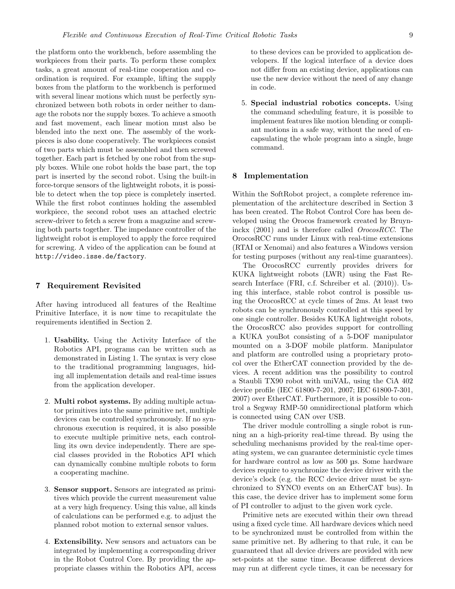the platform onto the workbench, before assembling the workpieces from their parts. To perform these complex tasks, a great amount of real-time cooperation and coordination is required. For example, lifting the supply boxes from the platform to the workbench is performed with several linear motions which must be perfectly synchronized between both robots in order neither to damage the robots nor the supply boxes. To achieve a smooth and fast movement, each linear motion must also be blended into the next one. The assembly of the workpieces is also done cooperatively. The workpieces consist of two parts which must be assembled and then screwed together. Each part is fetched by one robot from the supply boxes. While one robot holds the base part, the top part is inserted by the second robot. Using the built-in force-torque sensors of the lightweight robots, it is possible to detect when the top piece is completely inserted. While the first robot continues holding the assembled workpiece, the second robot uses an attached electric screw-driver to fetch a screw from a magazine and screwing both parts together. The impedance controller of the lightweight robot is employed to apply the force required for screwing. A video of the application can be found at http://video.isse.de/factory.

## 7 Requirement Revisited

After having introduced all features of the Realtime Primitive Interface, it is now time to recapitulate the requirements identified in Section 2.

- 1. Usability. Using the Activity Interface of the Robotics API, programs can be written such as demonstrated in Listing 1. The syntax is very close to the traditional programming languages, hiding all implementation details and real-time issues from the application developer.
- 2. Multi robot systems. By adding multiple actuator primitives into the same primitive net, multiple devices can be controlled synchronously. If no synchronous execution is required, it is also possible to execute multiple primitive nets, each controlling its own device independently. There are special classes provided in the Robotics API which can dynamically combine multiple robots to form a cooperating machine.
- 3. Sensor support. Sensors are integrated as primitives which provide the current measurement value at a very high frequency. Using this value, all kinds of calculations can be performed e.g. to adjust the planned robot motion to external sensor values.
- 4. Extensibility. New sensors and actuators can be integrated by implementing a corresponding driver in the Robot Control Core. By providing the appropriate classes within the Robotics API, access

to these devices can be provided to application developers. If the logical interface of a device does not differ from an existing device, applications can use the new device without the need of any change in code.

5. Special industrial robotics concepts. Using the command scheduling feature, it is possible to implement features like motion blending or compliant motions in a safe way, without the need of encapsulating the whole program into a single, huge command.

## 8 Implementation

Within the SoftRobot project, a complete reference implementation of the architecture described in Section 3 has been created. The Robot Control Core has been developed using the Orocos framework created by Bruyninckx (2001) and is therefore called OrocosRCC. The OrocosRCC runs under Linux with real-time extensions (RTAI or Xenomai) and also features a Windows version for testing purposes (without any real-time guarantees).

The OrocosRCC currently provides drivers for KUKA lightweight robots (LWR) using the Fast Research Interface (FRI, c.f. Schreiber et al. (2010)). Using this interface, stable robot control is possible using the OrocosRCC at cycle times of 2ms. At least two robots can be synchronously controlled at this speed by one single controller. Besides KUKA lightweight robots, the OrocosRCC also provides support for controlling a KUKA youBot consisting of a 5-DOF manipulator mounted on a 3-DOF mobile platform. Manipulator and platform are controlled using a proprietary protocol over the EtherCAT connection provided by the devices. A recent addition was the possibility to control a Staubli TX90 robot with uniVAL, using the CiA 402 device profile (IEC 61800-7-201, 2007; IEC 61800-7-301, 2007) over EtherCAT. Furthermore, it is possible to control a Segway RMP-50 omnidirectional platform which is connected using CAN over USB.

The driver module controlling a single robot is running an a high-priority real-time thread. By using the scheduling mechanisms provided by the real-time operating system, we can guarantee deterministic cycle times for hardware control as low as 500 µs. Some hardware devices require to synchronize the device driver with the device's clock (e.g. the RCC device driver must be synchronized to SYNC0 events on an EtherCAT bus). In this case, the device driver has to implement some form of PI controller to adjust to the given work cycle.

Primitive nets are executed within their own thread using a fixed cycle time. All hardware devices which need to be synchronized must be controlled from within the same primitive net. By adhering to that rule, it can be guaranteed that all device drivers are provided with new set-points at the same time. Because different devices may run at different cycle times, it can be necessary for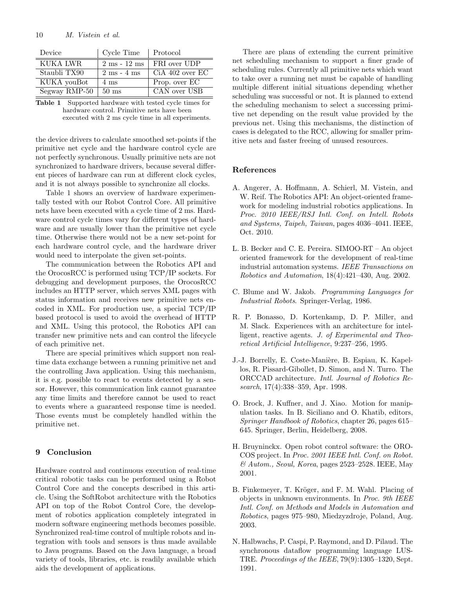| Device        | Cycle Time                     | Protocol        |
|---------------|--------------------------------|-----------------|
| KUKA LWR      | $2 \text{ ms} - 12 \text{ ms}$ | FRI over UDP    |
| Staubli TX90  | $2 \text{ ms} - 4 \text{ ms}$  | CiA 402 over EC |
| KUKA youBot   | $4 \text{ ms}$                 | Prop. over EC   |
| Segway RMP-50 | $50 \text{ ms}$                | CAN over USB    |

| <b>Table 1</b> Supported hardware with tested cycle times for |
|---------------------------------------------------------------|
| hardware control. Primitive nets have been                    |
| executed with 2 ms cycle time in all experiments.             |

the device drivers to calculate smoothed set-points if the primitive net cycle and the hardware control cycle are not perfectly synchronous. Usually primitive nets are not synchronized to hardware drivers, because several different pieces of hardware can run at different clock cycles, and it is not always possible to synchronize all clocks.

Table 1 shows an overview of hardware experimentally tested with our Robot Control Core. All primitive nets have been executed with a cycle time of 2 ms. Hardware control cycle times vary for different types of hardware and are usually lower than the primitive net cycle time. Otherwise there would not be a new set-point for each hardware control cycle, and the hardware driver would need to interpolate the given set-points.

The communication between the Robotics API and the OrocosRCC is performed using TCP/IP sockets. For debugging and development purposes, the OrocosRCC includes an HTTP server, which serves XML pages with status information and receives new primitive nets encoded in XML. For production use, a special TCP/IP based protocol is used to avoid the overhead of HTTP and XML. Using this protocol, the Robotics API can transfer new primitive nets and can control the lifecycle of each primitive net.

There are special primitives which support non realtime data exchange between a running primitive net and the controlling Java application. Using this mechanism, it is e.g. possible to react to events detected by a sensor. However, this communication link cannot guarantee any time limits and therefore cannot be used to react to events where a guaranteed response time is needed. Those events must be completely handled within the primitive net.

# 9 Conclusion

Hardware control and continuous execution of real-time critical robotic tasks can be performed using a Robot Control Core and the concepts described in this article. Using the SoftRobot architecture with the Robotics API on top of the Robot Control Core, the development of robotics application completely integrated in modern software engineering methods becomes possible. Synchronized real-time control of multiple robots and integration with tools and sensors is thus made available to Java programs. Based on the Java language, a broad variety of tools, libraries, etc. is readily available which aids the development of applications.

There are plans of extending the current primitive net scheduling mechanism to support a finer grade of scheduling rules. Currently all primitive nets which want to take over a running net must be capable of handling multiple different initial situations depending whether scheduling was successful or not. It is planned to extend the scheduling mechanism to select a successing primitive net depending on the result value provided by the previous net. Using this mechanisms, the distinction of cases is delegated to the RCC, allowing for smaller primitive nets and faster freeing of unused resources.

## References

- A. Angerer, A. Hoffmann, A. Schierl, M. Vistein, and W. Reif. The Robotics API: An object-oriented framework for modeling industrial robotics applications. In Proc. 2010 IEEE/RSJ Intl. Conf. on Intell. Robots and Systems, Taipeh, Taiwan, pages 4036–4041. IEEE, Oct. 2010.
- L. B. Becker and C. E. Pereira. SIMOO-RT An object oriented framework for the development of real-time industrial automation systems. IEEE Transactions on Robotics and Automation, 18(4):421–430, Aug. 2002.
- C. Blume and W. Jakob. Programming Languages for Industrial Robots. Springer-Verlag, 1986.
- R. P. Bonasso, D. Kortenkamp, D. P. Miller, and M. Slack. Experiences with an architecture for intelligent, reactive agents. J. of Experimental and Theoretical Artificial Intelligence, 9:237–256, 1995.
- J.-J. Borrelly, E. Coste-Manière, B. Espiau, K. Kapellos, R. Pissard-Gibollet, D. Simon, and N. Turro. The ORCCAD architecture. Intl. Journal of Robotics Research, 17(4):338–359, Apr. 1998.
- O. Brock, J. Kuffner, and J. Xiao. Motion for manipulation tasks. In B. Siciliano and O. Khatib, editors, Springer Handbook of Robotics, chapter 26, pages 615– 645. Springer, Berlin, Heidelberg, 2008.
- H. Bruyninckx. Open robot control software: the ORO-COS project. In Proc. 2001 IEEE Intl. Conf. on Robot. & Autom., Seoul, Korea, pages 2523–2528. IEEE, May 2001.
- B. Finkemeyer, T. Kröger, and F. M. Wahl. Placing of objects in unknown environments. In Proc. 9th IEEE Intl. Conf. on Methods and Models in Automation and Robotics, pages 975–980, Miedzyzdroje, Poland, Aug. 2003.
- N. Halbwachs, P. Caspi, P. Raymond, and D. Pilaud. The synchronous dataflow programming language LUS-TRE. Proceedings of the IEEE, 79(9):1305–1320, Sept. 1991.